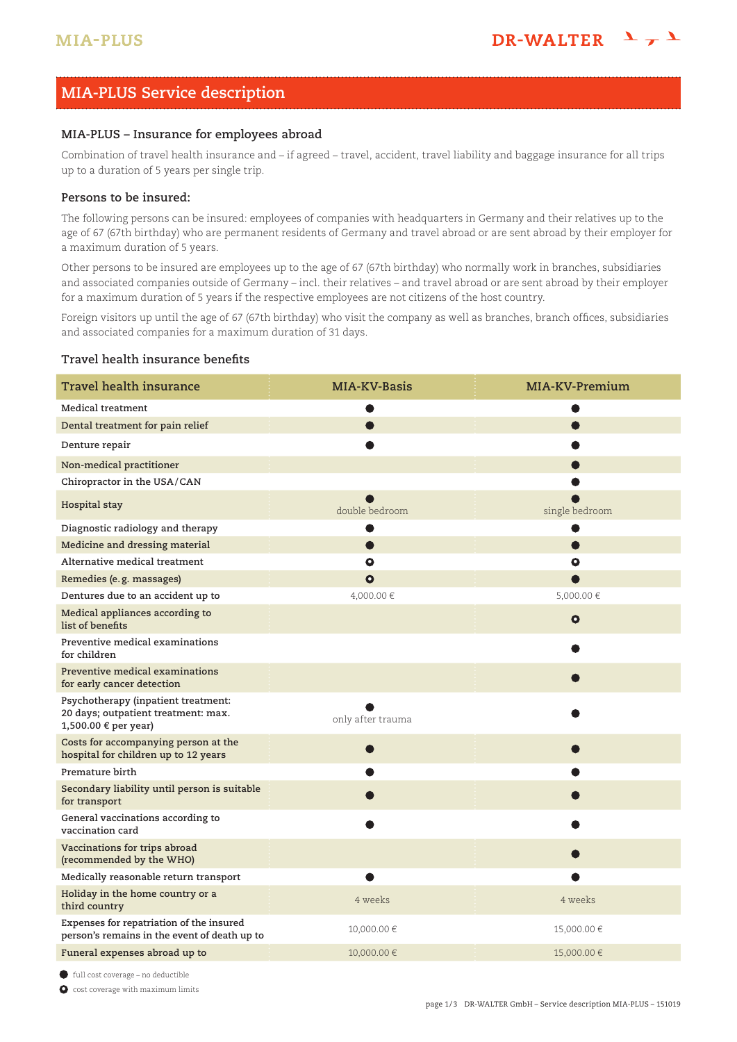# **MIA-PLUS Service description**

### **MIA-PLUS – Insurance for employees abroad**

Combination of travel health insurance and – if agreed – travel, accident, travel liability and baggage insurance for all trips up to a duration of 5 years per single trip.

### **Persons to be insured:**

The following persons can be insured: employees of companies with headquarters in Germany and their relatives up to the age of 67 (67th birthday) who are permanent residents of Germany and travel abroad or are sent abroad by their employer for a maximum duration of 5 years.

Other persons to be insured are employees up to the age of 67 (67th birthday) who normally work in branches, subsidiaries and associated companies outside of Germany – incl. their relatives – and travel abroad or are sent abroad by their employer for a maximum duration of 5 years if the respective employees are not citizens of the host country.

Foreign visitors up until the age of 67 (67th birthday) who visit the company as well as branches, branch offices, subsidiaries and associated companies for a maximum duration of 31 days.

### **Travel health insurance benefits**

| <b>Travel health insurance</b>                                                                     | MIA-KV-Basis      | MIA-KV-Premium |
|----------------------------------------------------------------------------------------------------|-------------------|----------------|
| Medical treatment                                                                                  |                   |                |
| Dental treatment for pain relief                                                                   |                   |                |
| Denture repair                                                                                     |                   |                |
| Non-medical practitioner                                                                           |                   |                |
| Chiropractor in the USA/CAN                                                                        |                   |                |
| Hospital stay                                                                                      | double bedroom    | single bedroom |
| Diagnostic radiology and therapy                                                                   |                   |                |
| Medicine and dressing material                                                                     | $\bullet$         | $\bullet$      |
| Alternative medical treatment                                                                      | $\bullet$         | $\bullet$      |
| Remedies (e.g. massages)                                                                           | $\bullet$         |                |
| Dentures due to an accident up to                                                                  | 4,000.00 €        | 5,000.00€      |
| Medical appliances according to<br>list of benefits                                                |                   | $\bullet$      |
| Preventive medical examinations<br>for children                                                    |                   |                |
| Preventive medical examinations<br>for early cancer detection                                      |                   |                |
| Psychotherapy (inpatient treatment:<br>20 days; outpatient treatment: max.<br>1,500.00 € per year) | only after trauma |                |
| Costs for accompanying person at the<br>hospital for children up to 12 years                       |                   |                |
| Premature birth                                                                                    |                   |                |
| Secondary liability until person is suitable<br>for transport                                      |                   |                |
| General vaccinations according to<br>vaccination card                                              |                   |                |
| Vaccinations for trips abroad<br>(recommended by the WHO)                                          |                   |                |
| Medically reasonable return transport                                                              |                   |                |
| Holiday in the home country or a<br>third country                                                  | 4 weeks           | 4 weeks        |
| Expenses for repatriation of the insured<br>person's remains in the event of death up to           | 10,000.00 €       | 15,000.00 €    |
| Funeral expenses abroad up to                                                                      | 10,000.00 €       | 15,000.00 €    |

• full cost coverage – no deductible

 $\bullet$  cost coverage with maximum limits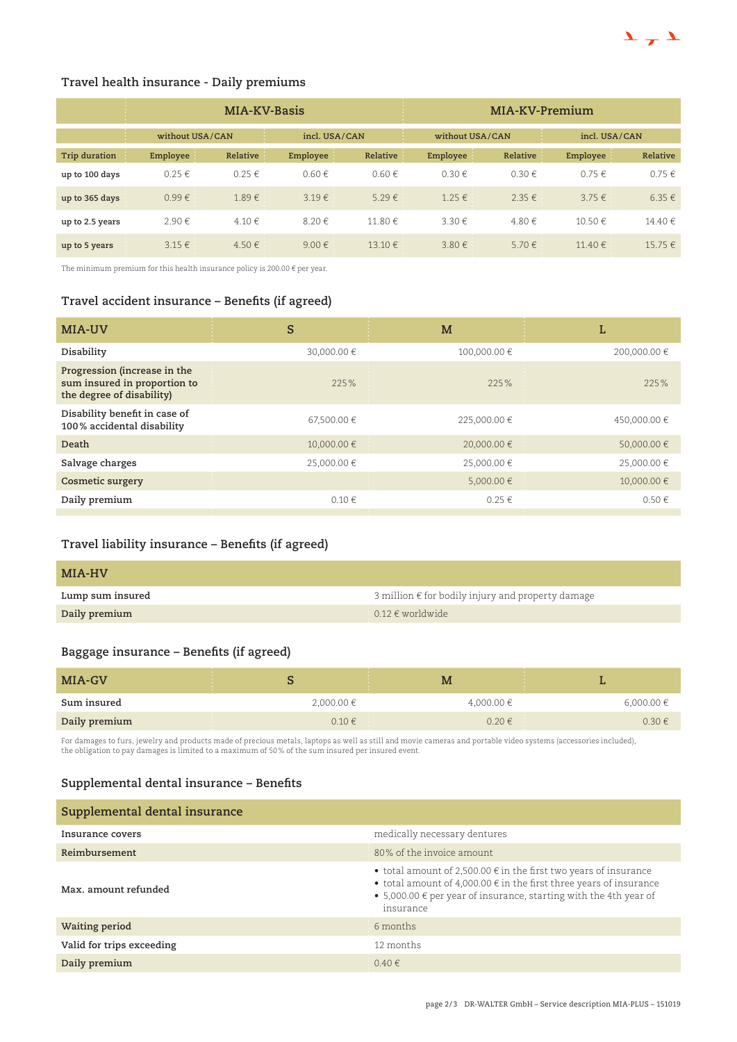

## **Travel health insurance - Daily premiums**

|                 | <b>COLLECTION</b><br>MIA-KV-Basis |                 |            | MIA-KV-Premium |            |                 |               |            |
|-----------------|-----------------------------------|-----------------|------------|----------------|------------|-----------------|---------------|------------|
|                 | $\sim$                            | without USA/CAN |            | incl. USA/CAN  |            | without USA/CAN | incl. USA/CAN |            |
| Trip duration   | Employee                          | Relative        | Employee   | Relative       | Employee   | Relative        | Employee      | Relative   |
| up to 100 days  | $0.25 \in$                        | $0.25 \in$      | $0.60 \in$ | $0.60 \in$     | $0.30 \in$ | $0.30 \in$      | $0.75 \in$    | $0.75 \in$ |
| up to 365 days  | $0.99 \in$                        | $1.89 \in$      | $3.19 \in$ | $5.29 \in$     | $1.25 \in$ | $2.35 \in$      | $3.75 \in$    | $6.35 \in$ |
| up to 2.5 years | 2.90€                             | 4.10€           | 8.20€      | 11.80€         | 3.30€      | 4.80€           | 10.50€        | 14.40 €    |
| up to 5 years   | $3.15 \in$                        | 4.50€           | $9.00 \in$ | 13.10€         | $3.80 \in$ | $5.70 \in$      | 11.40 $\in$   | 15.75 €    |

The minimum premium for this health insurance policy is 200.00  $\epsilon$  per year.

# **Travel accident insurance – Benefits (if agreed)**

| MIA-UV                                                                                    | S           | M            | L            |
|-------------------------------------------------------------------------------------------|-------------|--------------|--------------|
| Disability                                                                                | 30,000.00 € | 100,000.00 € | 200,000.00 € |
| Progression (increase in the<br>sum insured in proportion to<br>the degree of disability) | 225%        | 225%         | 225%         |
| Disability benefit in case of<br>100% accidental disability                               | 67,500.00 € | 225,000.00 € | 450,000.00 € |
| Death                                                                                     | 10,000.00 € | 20,000.00 €  | 50,000.00 €  |
| Salvage charges                                                                           | 25.000.00 € | 25,000.00 €  | 25,000.00 €  |
| Cosmetic surgery                                                                          |             | 5,000.00 €   | 10,000.00 €  |
| Daily premium                                                                             | $0.10 \in$  | $0.25 \in$   | $0.50 \in$   |
|                                                                                           |             |              |              |

# **Travel liability insurance – Benefits (if agreed)**

| MIA-HV           |                                                   |
|------------------|---------------------------------------------------|
| Lump sum insured | 3 million € for bodily injury and property damage |
| Daily premium    | $0.12 \in$ worldwide                              |

# **Baggage insurance – Benefits (if agreed)**

| MIA-GV        |                                 | M          |                |
|---------------|---------------------------------|------------|----------------|
| Sum insured   | $2,000.00 \in$                  | 4,000.00 € | $6,000.00 \in$ |
| Daily premium | <b>STATISTICS</b><br>$0.10 \in$ | 0.20€      | $0.30 \in$     |

For damages to furs, jewelry and products made of precious metals, laptops as well as still and movie cameras and portable video systems (accessories included),<br>the obligation to pay damages is limited to a maximum of 50%

# **Supplemental dental insurance – Benefits**

| Supplemental dental insurance |                                                                                                                                                                                                                                                     |
|-------------------------------|-----------------------------------------------------------------------------------------------------------------------------------------------------------------------------------------------------------------------------------------------------|
| Insurance covers              | medically necessary dentures                                                                                                                                                                                                                        |
| Reimbursement                 | 80% of the invoice amount                                                                                                                                                                                                                           |
| Max. amount refunded          | • total amount of 2,500.00 $\epsilon$ in the first two years of insurance<br>• total amount of 4,000.00 $\epsilon$ in the first three years of insurance<br>• 5,000.00 $\epsilon$ per year of insurance, starting with the 4th year of<br>insurance |
| Waiting period                | 6 months                                                                                                                                                                                                                                            |
| Valid for trips exceeding     | 12 months                                                                                                                                                                                                                                           |
| Daily premium                 | $0.40 \in$                                                                                                                                                                                                                                          |